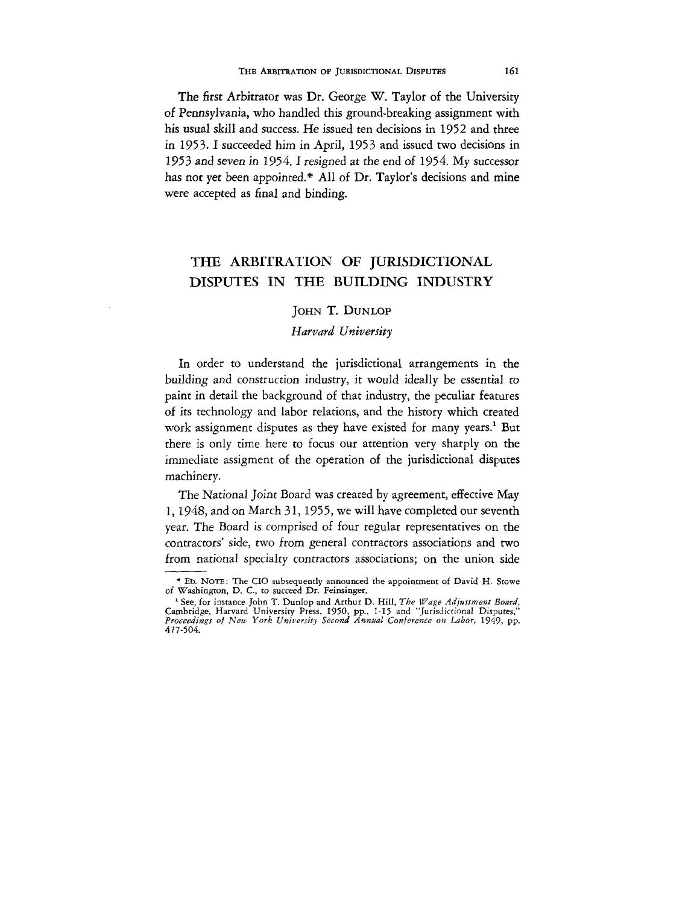#### THE ARBITRATION OF JURISDICTIONAL DISPUTES 161

The first Arbitrator was Dr. George W. Taylor of the University of Pennsylvania, who handled this ground-breaking assignment with his usual skill and success. He issued ten decisions in 1952 and three in 1953. I succeeded him in April, 1953 and issued two decisions in 1953 and seven in 1954.1 resigned at the end of 1954. My successor has not yet been appointed.\* All of Dr. Taylor's decisions and mine were accepted as final and binding.

# THE ARBITRATION OF JURISDICTIONAL DISPUTES IN THE BUILDING INDUSTRY

# JOHN T. DUNLOP

## *Harvard University*

In order to understand the jurisdictional arrangements in the building and construction industry, it would ideally be essential to paint in detail the background of that industry, the peculiar features of its technology and labor relations, and the history which created work assignment disputes as they have existed for many years.<sup>1</sup> But there is only time here to focus our attention very sharply on the immediate assigment of the operation of the jurisdictional disputes machinery.

The National Joint Board was created by agreement, effective May 1, 1948, and on March 31, 1955, we will have completed our seventh year. The Board is comprised of four regular representatives on the contractors' side, two from general contractors associations and two from national specialty contractors associations; on the union side

<sup>•</sup> ED. NOTE: The CIO subsequently announced the appointment of David H. Stowe of Washington, D. C, *to* succeed Dr. Feinsiager.

<sup>&</sup>lt;sup>1</sup> See, for instance John T. Dunlop and Arthur D. Hill, The Wage Adjustment Board, Cambridge, Harvard University Press, 1950, pp., 1-15 and "Jurisdictional Disputes,"<br>Proceedings of New York University Second Annual Confe 477-504.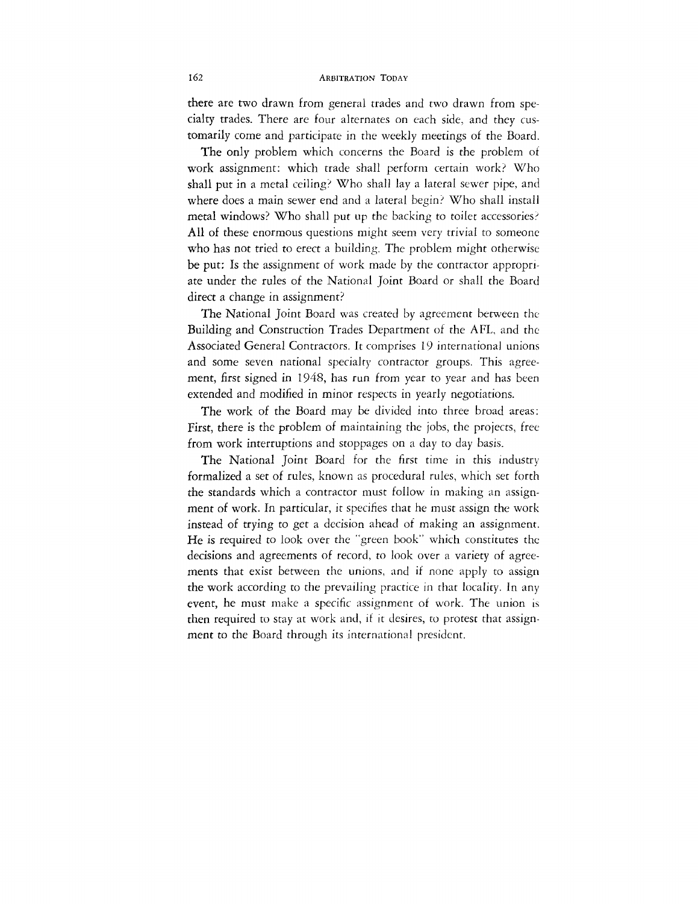## 162 ARBITRATION TODAY

there are two drawn from general trades and two drawn from specialty trades. There are four alternates on each side, and they customarily come and participate in the weekly meetings of the Board.

The only problem which concerns the Board is the problem of work assignment: which trade shall perform certain work? Who shall put in a metal ceiling? Who shall lay a lateral sewer pipe, and where does a main sewer end and a lateral begin? Who shall install metal windows? Who shall put up the backing to toilet accessories? All of these enormous questions might seem very trivial to someone who has not tried to erect a building. The problem might otherwise be put: Is the assignment of work made by the contractor appropriate under the rules of the National Joint Board or shall the Board direct a change in assignment?

The National Joint Board was created by agreement between the Building and Construction Trades Department of the AFL, and the Associated General Contractors. It comprises 19 international unions and some seven national specialty contractor groups. This agreement, first signed in 1948, has run from year to year and has been extended and modified in minor respects in yearly negotiations.

The work of the Board may be divided into three broad areas: First, there is the problem of maintaining the jobs, the projects, free from work interruptions and stoppages on a day to day basis.

The National Joint Board for the first time in this industry formalized a set of rules, known as procedural rules, which set forth the standards which a contractor must follow in making an assignment of work. In particular, it specifies that he must assign the work instead of trying to *get* a decision ahead of making an assignment. He is required to look over the "green book" which constitutes the decisions and agreements of record, to look over a variety of agreements that exist between the unions, and if none apply to assign the work according to the prevailing practice in that locality. In any event, he must make a specific assignment of work. The union is then required to stay at work and, if it desires, to protest that assignment to the Board through its international president.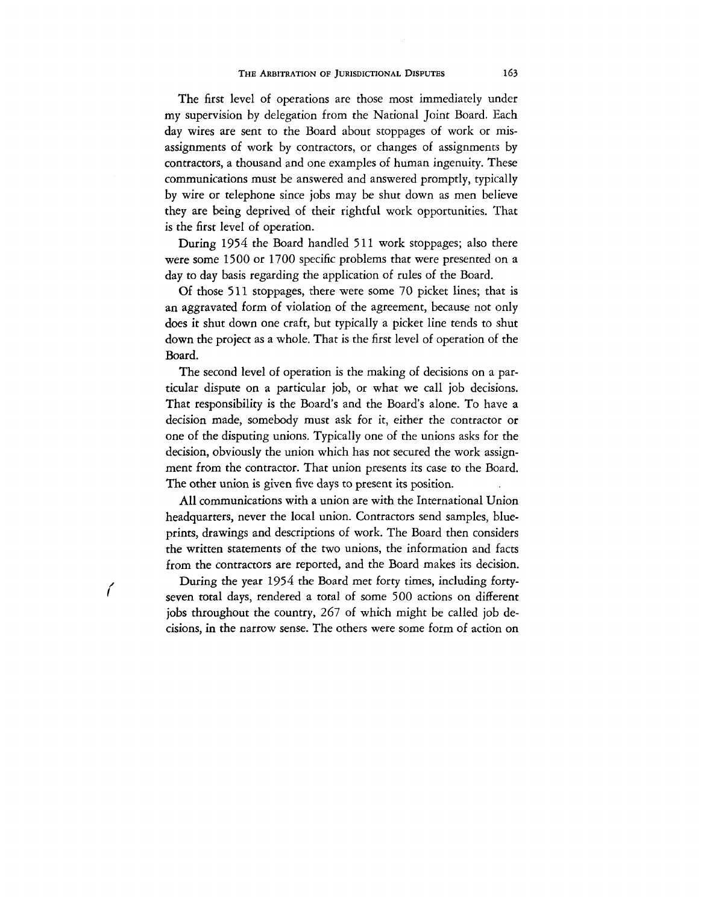The first level of operations are those most immediately under my supervision by delegation from the National Joint Board. Each day wires are sent to the Board about stoppages of work or misassignments of work by contractors, or changes of assignments by contractors, a thousand and one examples of human ingenuity. These communications must be answered and answered promptly, typically by wire or telephone since jobs may be shut down as men believe they are being deprived of their rightful work opportunities. That is the first level of operation.

During 1954 the Board handled 511 work stoppages; also there were some 1500 or 1700 specific problems that were presented on a day to day basis regarding the application of rules of the Board.

Of those 511 stoppages, there were some 70 picket lines; that is an aggravated form of violation of the agreement, because not only does it shut down one craft, but typically a picket line tends to shut down the project as a whole. That is the first level of operation of the Board.

The second level of operation is the making of decisions on a particular dispute on a particular job, or what we call job decisions. That responsibility is the Board's and the Board's alone. To have a decision made, somebody must ask for it, either the contractor or one of the disputing unions. Typically one of the unions asks for the decision, obviously the union which has not secured the work assignment from the contractor. That union presents its case to the Board. The other union is given five days to present its position.

All communications with a union are with the International Union headquarters, never the local union. Contractors send samples, blueprints, drawings and descriptions of work. The Board then considers the written statements of the two unions, the information and facts from the contractors are reported, and the Board makes its decision.

 $\mu$  During the year 1954 the Board met forty times, including fortyseven total days, rendered a total of some 500 actions on different jobs throughout the country, 267 of which might be called job decisions, in the narrow sense. The others were some form of action on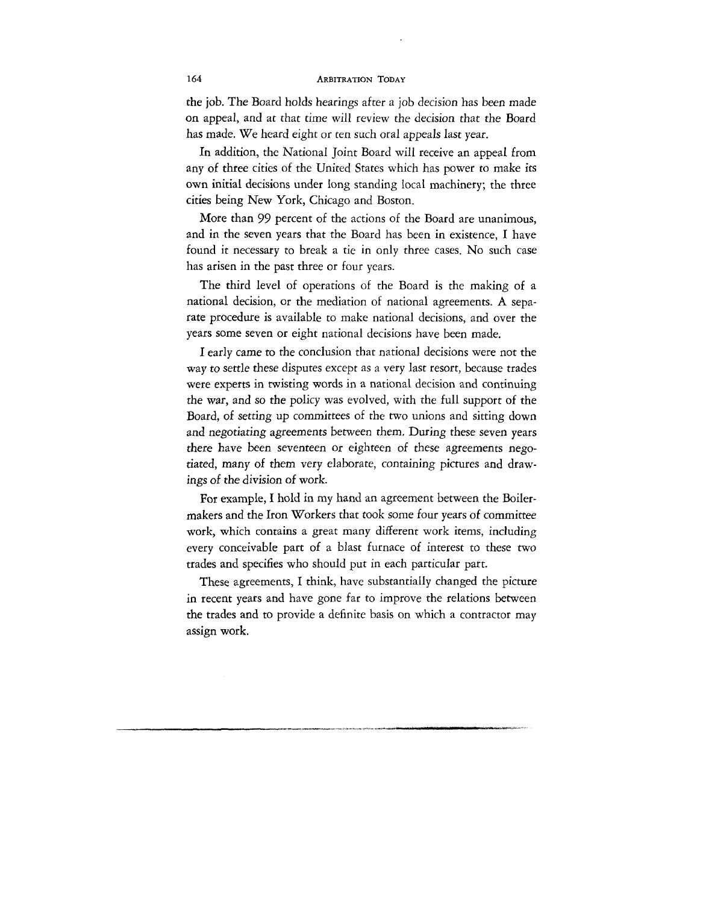the job. The Board holds hearings after a job decision has been made on appeal, and at that time will review the decision that the Board has made. We heard eight or ten such oral appeals last year.

In addition, the National Joint Board will receive an appeal from any of three cities of the United States which has power to make its own initial decisions under long standing local machinery; the three cities being New York, Chicago and Boston.

More than 99 percent of the actions of the Board are unanimous, and in the seven years that the Board has been in existence, I have found it necessary to break a tie in only three cases. No such case has arisen in the past three or four years.

The third level of operations of the Board is the making of a national decision, or the mediation of national agreements. A separate procedure is available to make national decisions, and over the years some seven or eight national decisions have been made.

I early came to the conclusion that national decisions were not the way *to* settle these disputes except as a very last resort, because trades were experts in twisting words in a national decision and continuing rhe war, and so the policy was evolved, with the full support of the Board, of setting up committees of the two unions and sitting down and negotiating agreements between them. During these seven years there have been seventeen or eighteen of these agreements negotiated, many of them very elaborate, containing pictures and drawings *oi* the division of work.

For example, I hold in my hand an agreement between the Boilermakers and the Iron Workers that took some four years of committee work, which contains a great many different work items, including every conceivable part of a blast furnace of interest to these two trades and specifies who should put in each particular part.

These agreements, I think, have substantially changed the picture in recent years and have gone far to improve the relations between the trades and to provide a definite basis on which a contractor may assign work.